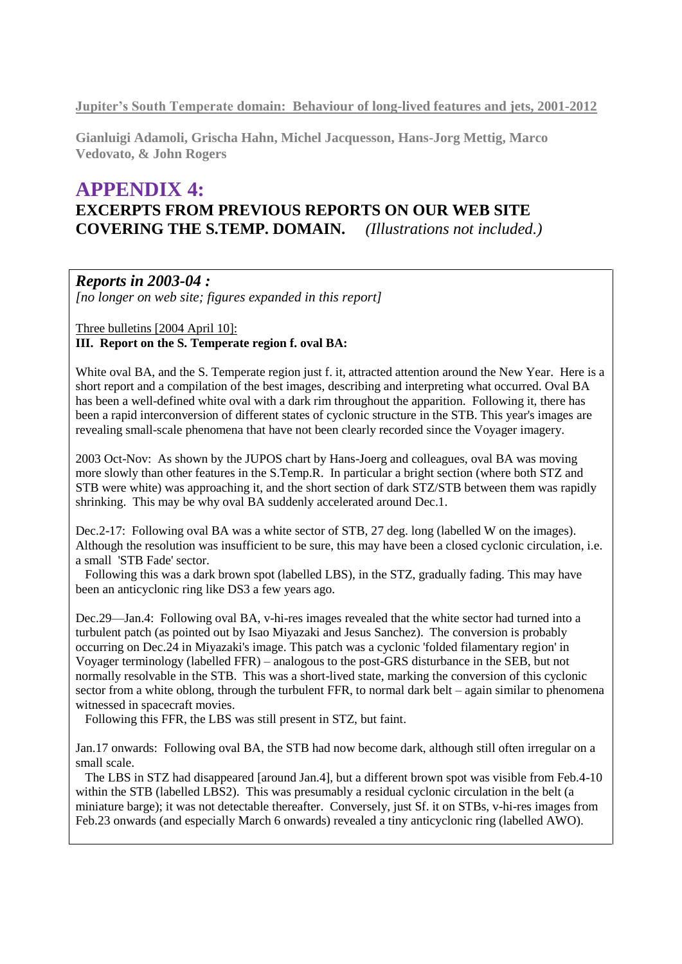**Jupiter's South Temperate domain: Behaviour of long-lived features and jets, 2001-2012**

**Gianluigi Adamoli, Grischa Hahn, Michel Jacquesson, Hans-Jorg Mettig, Marco Vedovato, & John Rogers**

# **APPENDIX 4: EXCERPTS FROM PREVIOUS REPORTS ON OUR WEB SITE COVERING THE S.TEMP. DOMAIN.** *(Illustrations not included.)*

### *Reports in 2003-04 :*

*[no longer on web site; figures expanded in this report]*

Three bulletins [2004 April 10]:

### **III. Report on the S. Temperate region f. oval BA:**

White oval BA, and the S. Temperate region just f. it, attracted attention around the New Year. Here is a short report and a compilation of the best images, describing and interpreting what occurred. Oval BA has been a well-defined white oval with a dark rim throughout the apparition. Following it, there has been a rapid interconversion of different states of cyclonic structure in the STB. This year's images are revealing small-scale phenomena that have not been clearly recorded since the Voyager imagery.

2003 Oct-Nov: As shown by the JUPOS chart by Hans-Joerg and colleagues, oval BA was moving more slowly than other features in the S.Temp.R. In particular a bright section (where both STZ and STB were white) was approaching it, and the short section of dark STZ/STB between them was rapidly shrinking. This may be why oval BA suddenly accelerated around Dec.1.

Dec.2-17: Following oval BA was a white sector of STB, 27 deg. long (labelled W on the images). Although the resolution was insufficient to be sure, this may have been a closed cyclonic circulation, i.e. a small 'STB Fade' sector.

 Following this was a dark brown spot (labelled LBS), in the STZ, gradually fading. This may have been an anticyclonic ring like DS3 a few years ago.

Dec.29—Jan.4: Following oval BA, v-hi-res images revealed that the white sector had turned into a turbulent patch (as pointed out by Isao Miyazaki and Jesus Sanchez). The conversion is probably occurring on Dec.24 in Miyazaki's image. This patch was a cyclonic 'folded filamentary region' in Voyager terminology (labelled FFR) – analogous to the post-GRS disturbance in the SEB, but not normally resolvable in the STB. This was a short-lived state, marking the conversion of this cyclonic sector from a white oblong, through the turbulent FFR, to normal dark belt – again similar to phenomena witnessed in spacecraft movies.

Following this FFR, the LBS was still present in STZ, but faint.

Jan.17 onwards: Following oval BA, the STB had now become dark, although still often irregular on a small scale.

 The LBS in STZ had disappeared [around Jan.4], but a different brown spot was visible from Feb.4-10 within the STB (labelled LBS2). This was presumably a residual cyclonic circulation in the belt (a miniature barge); it was not detectable thereafter. Conversely, just Sf. it on STBs, v-hi-res images from Feb.23 onwards (and especially March 6 onwards) revealed a tiny anticyclonic ring (labelled AWO).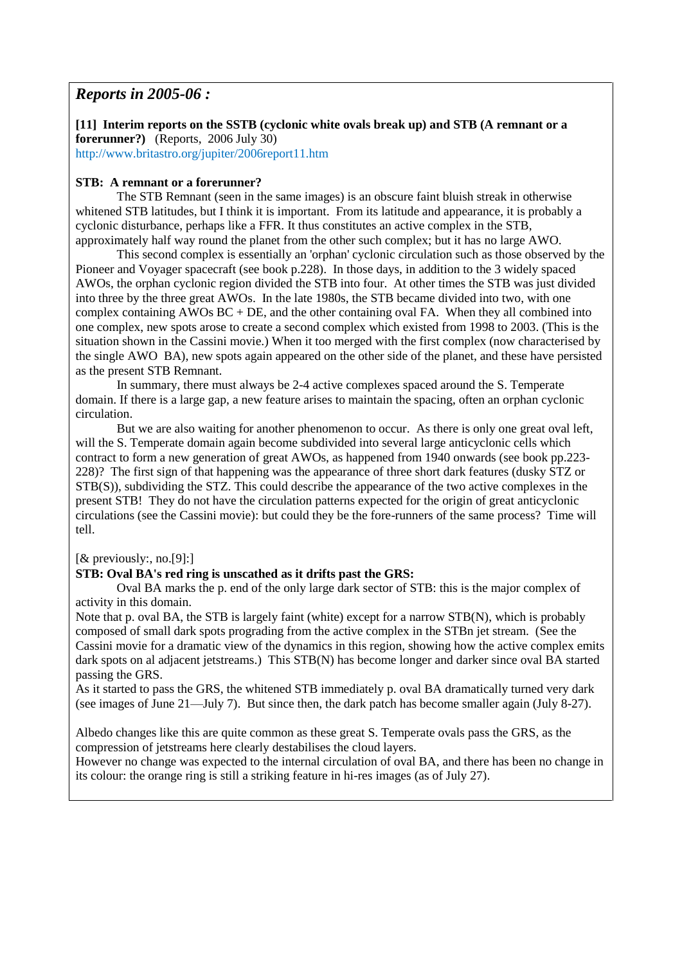### *Reports in 2005-06 :*

**[11] Interim reports on the SSTB (cyclonic white ovals break up) and STB (A remnant or a forerunner?)** (Reports, 2006 July 30)

http://www.britastro.org/jupiter/2006report11.htm

#### **STB: A remnant or a forerunner?**

The STB Remnant (seen in the same images) is an obscure faint bluish streak in otherwise whitened STB latitudes, but I think it is important. From its latitude and appearance, it is probably a cyclonic disturbance, perhaps like a FFR. It thus constitutes an active complex in the STB, approximately half way round the planet from the other such complex; but it has no large AWO.

This second complex is essentially an 'orphan' cyclonic circulation such as those observed by the Pioneer and Voyager spacecraft (see book p.228). In those days, in addition to the 3 widely spaced AWOs, the orphan cyclonic region divided the STB into four. At other times the STB was just divided into three by the three great AWOs. In the late 1980s, the STB became divided into two, with one complex containing AWOs BC + DE, and the other containing oval FA. When they all combined into one complex, new spots arose to create a second complex which existed from 1998 to 2003. (This is the situation shown in the Cassini movie.) When it too merged with the first complex (now characterised by the single AWO BA), new spots again appeared on the other side of the planet, and these have persisted as the present STB Remnant.

In summary, there must always be 2-4 active complexes spaced around the S. Temperate domain. If there is a large gap, a new feature arises to maintain the spacing, often an orphan cyclonic circulation.

But we are also waiting for another phenomenon to occur. As there is only one great oval left, will the S. Temperate domain again become subdivided into several large anticyclonic cells which contract to form a new generation of great AWOs, as happened from 1940 onwards (see book pp.223- 228)? The first sign of that happening was the appearance of three short dark features (dusky STZ or STB(S)), subdividing the STZ. This could describe the appearance of the two active complexes in the present STB! They do not have the circulation patterns expected for the origin of great anticyclonic circulations (see the Cassini movie): but could they be the fore-runners of the same process? Time will tell.

#### [& previously:, no.[9]:]

#### **STB: Oval BA's red ring is unscathed as it drifts past the GRS:**

Oval BA marks the p. end of the only large dark sector of STB: this is the major complex of activity in this domain.

Note that p. oval BA, the STB is largely faint (white) except for a narrow STB(N), which is probably composed of small dark spots prograding from the active complex in the STBn jet stream. (See the Cassini movie for a dramatic view of the dynamics in this region, showing how the active complex emits dark spots on al adjacent jetstreams.) This STB(N) has become longer and darker since oval BA started passing the GRS.

As it started to pass the GRS, the whitened STB immediately p. oval BA dramatically turned very dark (see images of June 21—July 7). But since then, the dark patch has become smaller again (July 8-27).

Albedo changes like this are quite common as these great S. Temperate ovals pass the GRS, as the compression of jetstreams here clearly destabilises the cloud layers.

However no change was expected to the internal circulation of oval BA, and there has been no change in its colour: the orange ring is still a striking feature in hi-res images (as of July 27).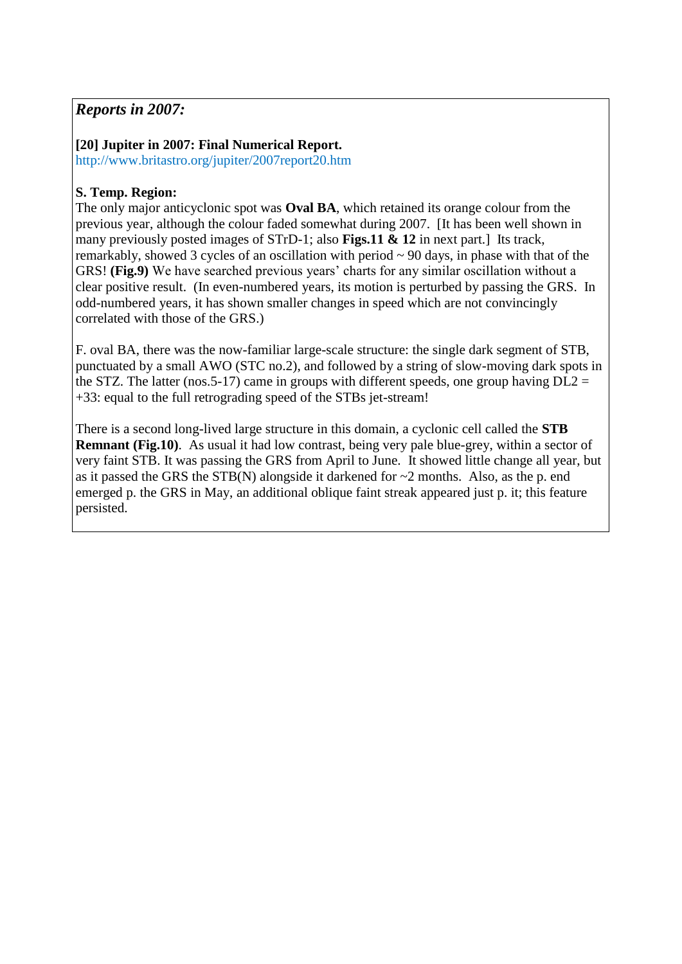# *Reports in 2007:*

# **[20] Jupiter in 2007: Final Numerical Report.**

http://www.britastro.org/jupiter/2007report20.htm

# **S. Temp. Region:**

The only major anticyclonic spot was **Oval BA**, which retained its orange colour from the previous year, although the colour faded somewhat during 2007. [It has been well shown in many previously posted images of STrD-1; also **Figs.11 & 12** in next part.] Its track, remarkably, showed 3 cycles of an oscillation with period ~ 90 days, in phase with that of the GRS! **(Fig.9)** We have searched previous years' charts for any similar oscillation without a clear positive result. (In even-numbered years, its motion is perturbed by passing the GRS. In odd-numbered years, it has shown smaller changes in speed which are not convincingly correlated with those of the GRS.)

F. oval BA, there was the now-familiar large-scale structure: the single dark segment of STB, punctuated by a small AWO (STC no.2), and followed by a string of slow-moving dark spots in the STZ. The latter (nos. 5-17) came in groups with different speeds, one group having  $DL2 =$ +33: equal to the full retrograding speed of the STBs jet-stream!

There is a second long-lived large structure in this domain, a cyclonic cell called the **STB Remnant** (Fig.10). As usual it had low contrast, being very pale blue-grey, within a sector of very faint STB. It was passing the GRS from April to June. It showed little change all year, but as it passed the GRS the STB(N) alongside it darkened for  $\sim$ 2 months. Also, as the p. end emerged p. the GRS in May, an additional oblique faint streak appeared just p. it; this feature persisted.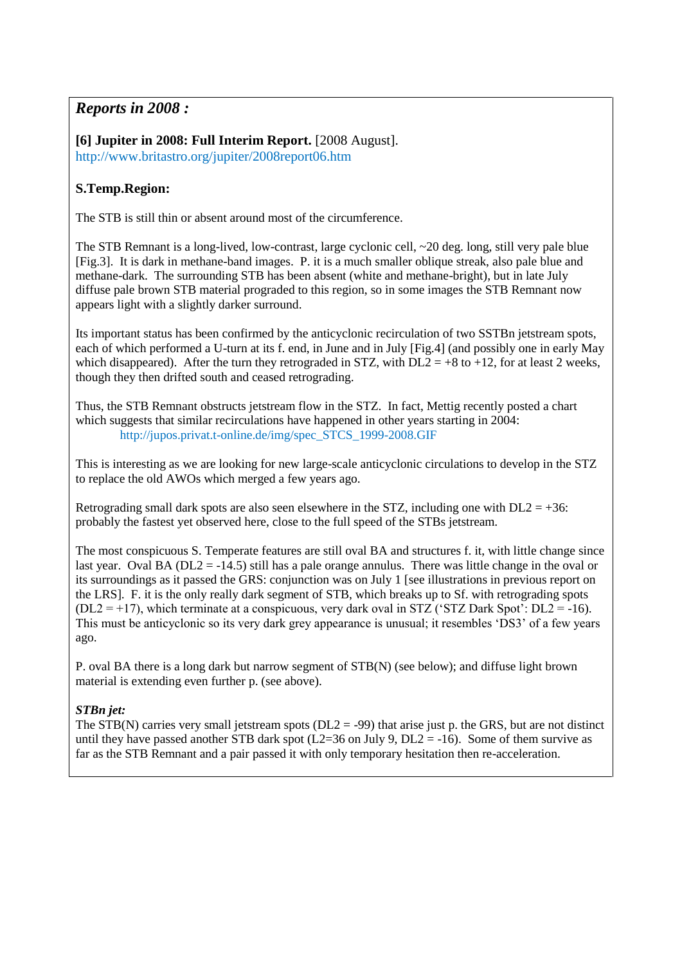# *Reports in 2008 :*

**[6] Jupiter in 2008: Full Interim Report.** [2008 August]. http://www.britastro.org/jupiter/2008report06.htm

## **S.Temp.Region:**

The STB is still thin or absent around most of the circumference.

The STB Remnant is a long-lived, low-contrast, large cyclonic cell, ~20 deg. long, still very pale blue [Fig.3]. It is dark in methane-band images. P. it is a much smaller oblique streak, also pale blue and methane-dark. The surrounding STB has been absent (white and methane-bright), but in late July diffuse pale brown STB material prograded to this region, so in some images the STB Remnant now appears light with a slightly darker surround.

Its important status has been confirmed by the anticyclonic recirculation of two SSTBn jetstream spots, each of which performed a U-turn at its f. end, in June and in July [Fig.4] (and possibly one in early May which disappeared). After the turn they retrograded in STZ, with  $DL2 = +8$  to  $+12$ , for at least 2 weeks, though they then drifted south and ceased retrograding.

Thus, the STB Remnant obstructs jetstream flow in the STZ. In fact, Mettig recently posted a chart which suggests that similar recirculations have happened in other years starting in 2004: http://jupos.privat.t-online.de/img/spec\_STCS\_1999-2008.GIF

This is interesting as we are looking for new large-scale anticyclonic circulations to develop in the STZ to replace the old AWOs which merged a few years ago.

Retrograding small dark spots are also seen elsewhere in the STZ, including one with  $DL2 = +36$ : probably the fastest yet observed here, close to the full speed of the STBs jetstream.

The most conspicuous S. Temperate features are still oval BA and structures f. it, with little change since last year. Oval BA (DL2 = -14.5) still has a pale orange annulus. There was little change in the oval or its surroundings as it passed the GRS: conjunction was on July 1 [see illustrations in previous report on the LRS]. F. it is the only really dark segment of STB, which breaks up to Sf. with retrograding spots  $(DL2 = +17)$ , which terminate at a conspicuous, very dark oval in STZ ('STZ Dark Spot':  $DL2 = -16$ ). This must be anticyclonic so its very dark grey appearance is unusual; it resembles 'DS3' of a few years ago.

P. oval BA there is a long dark but narrow segment of STB(N) (see below); and diffuse light brown material is extending even further p. (see above).

### *STBn jet:*

The STB(N) carries very small jetstream spots ( $DL2 = -99$ ) that arise just p. the GRS, but are not distinct until they have passed another STB dark spot (L2=36 on July 9, DL2 =  $-16$ ). Some of them survive as far as the STB Remnant and a pair passed it with only temporary hesitation then re-acceleration.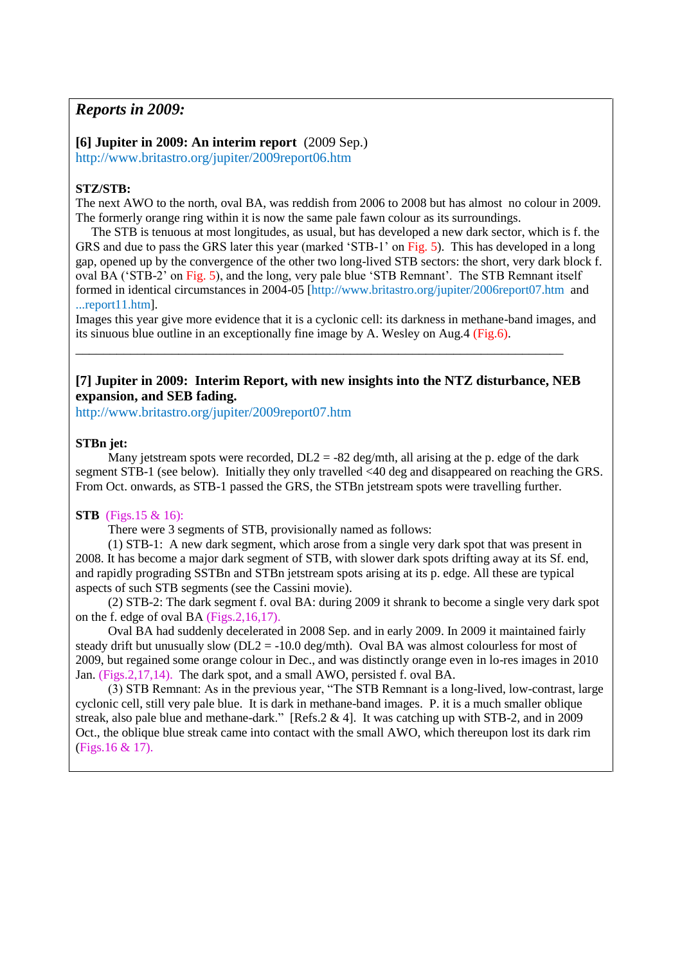### *Reports in 2009:*

**[6] Jupiter in 2009: An interim report** (2009 Sep.) http://www.britastro.org/jupiter/2009report06.htm

#### **STZ/STB:**

The next AWO to the north, oval BA, was reddish from 2006 to 2008 but has almost no colour in 2009. The formerly orange ring within it is now the same pale fawn colour as its surroundings.

 The STB is tenuous at most longitudes, as usual, but has developed a new dark sector, which is f. the GRS and due to pass the GRS later this year (marked 'STB-1' on Fig. 5). This has developed in a long gap, opened up by the convergence of the other two long-lived STB sectors: the short, very dark block f. oval BA ('STB-2' on Fig. 5), and the long, very pale blue 'STB Remnant'. The STB Remnant itself formed in identical circumstances in 2004-05 [http://www.britastro.org/jupiter/2006report07.htm and ...report11.htm].

Images this year give more evidence that it is a cyclonic cell: its darkness in methane-band images, and its sinuous blue outline in an exceptionally fine image by A. Wesley on Aug.4 (Fig.6).

#### **[7] Jupiter in 2009: Interim Report, with new insights into the NTZ disturbance, NEB expansion, and SEB fading.**

\_\_\_\_\_\_\_\_\_\_\_\_\_\_\_\_\_\_\_\_\_\_\_\_\_\_\_\_\_\_\_\_\_\_\_\_\_\_\_\_\_\_\_\_\_\_\_\_\_\_\_\_\_\_\_\_\_\_\_\_\_\_\_\_\_\_\_\_\_\_\_

http://www.britastro.org/jupiter/2009report07.htm

#### **STBn jet:**

Many jetstream spots were recorded,  $DL2 = -82$  deg/mth, all arising at the p. edge of the dark segment STB-1 (see below). Initially they only travelled <40 deg and disappeared on reaching the GRS. From Oct. onwards, as STB-1 passed the GRS, the STBn jetstream spots were travelling further.

#### **STB** (Figs.15 & 16):

There were 3 segments of STB, provisionally named as follows:

(1) STB-1: A new dark segment, which arose from a single very dark spot that was present in 2008. It has become a major dark segment of STB, with slower dark spots drifting away at its Sf. end, and rapidly prograding SSTBn and STBn jetstream spots arising at its p. edge. All these are typical aspects of such STB segments (see the Cassini movie).

(2) STB-2: The dark segment f. oval BA: during 2009 it shrank to become a single very dark spot on the f. edge of oval BA (Figs.2,16,17).

Oval BA had suddenly decelerated in 2008 Sep. and in early 2009. In 2009 it maintained fairly steady drift but unusually slow ( $DL2 = -10.0$  deg/mth). Oval BA was almost colourless for most of 2009, but regained some orange colour in Dec., and was distinctly orange even in lo-res images in 2010 Jan. (Figs.2,17,14). The dark spot, and a small AWO, persisted f. oval BA.

(3) STB Remnant: As in the previous year, "The STB Remnant is a long-lived, low-contrast, large cyclonic cell, still very pale blue. It is dark in methane-band images. P. it is a much smaller oblique streak, also pale blue and methane-dark." [Refs.2 & 4]. It was catching up with STB-2, and in 2009 Oct., the oblique blue streak came into contact with the small AWO, which thereupon lost its dark rim (Figs.16 & 17).